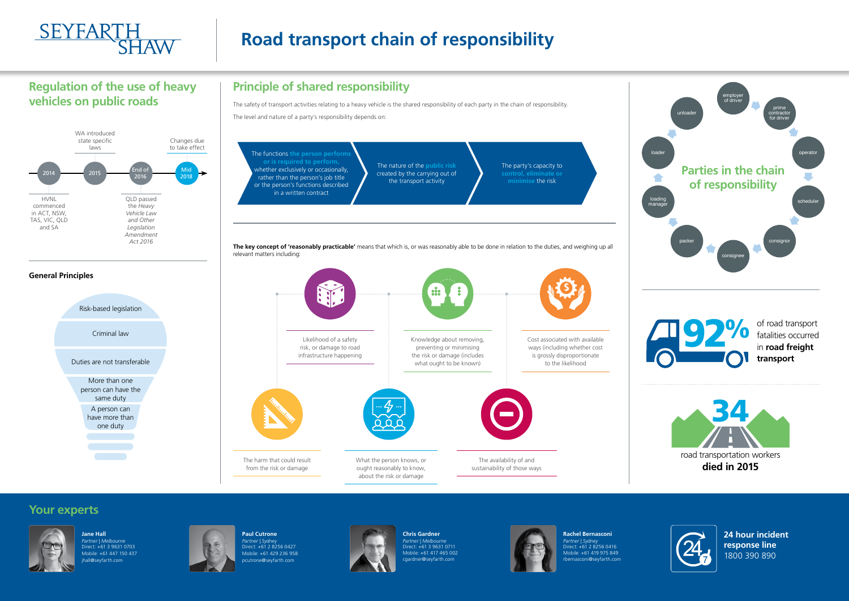

# **Road transport chain of responsibility**



**Jane Hall**  *Partner | Melbourne*  Direct: +61 3 9631 0703 Mobile: +61 447 150 437 hall@seyfarth.com



**Paul Cutrone**  *Partner | Sydney*  Direct: +61 2 8256 0427 Mobile: +61 429 236 958 pcutrone@seyfarth.com



**Chris Gardner** *Partner | Melbourne* Direct: +61 3 9631 0711 Mobile: +61 417 465 002 cgardner@seyfarth.com



**Rachel Bernasconi** *Partner | Sydney* Direct: +61 2 8256 0416 Mobile: +61 419 975 849 rbernasconi@seyfarth.com

**24 hour incident response line**  1800 390 890

The safety of transport activities relating to a heavy vehicle is the shared responsibility of each party in the chain of responsibility. The level and nature of a party's responsibility depends on:

### **Your experts**

## **Regulation of the use of heavy vehicles on public roads**

# **Principle of shared responsibility**







of road transport fatalities occurred in **road freight transport**